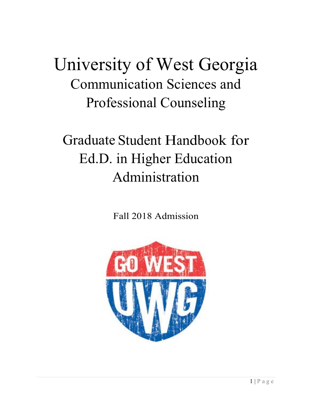# University of West Georgia Communication Sciences and Professional Counseling

# Graduate Student Handbook for Ed.D. in Higher Education Administration

Fall 2018 Admission

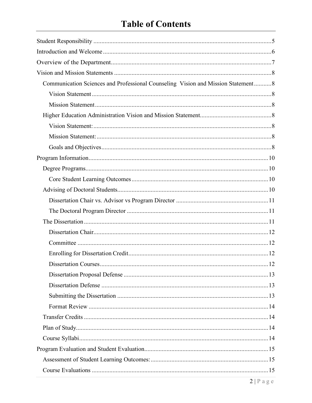# **Table of Contents**

| Communication Sciences and Professional Counseling Vision and Mission Statement8 |  |
|----------------------------------------------------------------------------------|--|
|                                                                                  |  |
|                                                                                  |  |
|                                                                                  |  |
|                                                                                  |  |
|                                                                                  |  |
|                                                                                  |  |
|                                                                                  |  |
|                                                                                  |  |
|                                                                                  |  |
|                                                                                  |  |
|                                                                                  |  |
|                                                                                  |  |
|                                                                                  |  |
|                                                                                  |  |
|                                                                                  |  |
|                                                                                  |  |
|                                                                                  |  |
|                                                                                  |  |
|                                                                                  |  |
|                                                                                  |  |
|                                                                                  |  |
|                                                                                  |  |
|                                                                                  |  |
|                                                                                  |  |
|                                                                                  |  |
|                                                                                  |  |
|                                                                                  |  |
|                                                                                  |  |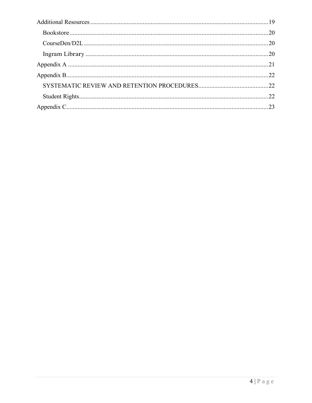| 22 |
|----|
| 23 |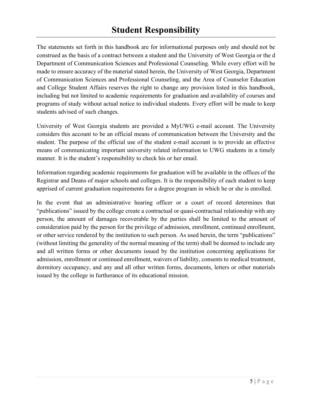The statements set forth in this handbook are for informational purposes only and should not be construed as the basis of a contract between a student and the University of West Georgia or the d Department of Communication Sciences and Professional Counseling. While every effort will be made to ensure accuracy of the material stated herein, the University of West Georgia, Department of Communication Sciences and Professional Counseling, and the Area of Counselor Education and College Student Affairs reserves the right to change any provision listed in this handbook, including but not limited to academic requirements for graduation and availability of courses and programs of study without actual notice to individual students. Every effort will be made to keep students advised of such changes.

University of West Georgia students are provided a MyUWG e-mail account. The University considers this account to be an official means of communication between the University and the student. The purpose of the official use of the student e-mail account is to provide an effective means of communicating important university related information to UWG students in a timely manner. It is the student's responsibility to check his or her email.

Information regarding academic requirements for graduation will be available in the offices of the Registrar and Deans of major schools and colleges. It is the responsibility of each student to keep apprised of current graduation requirements for a degree program in which he or she is enrolled.

In the event that an administrative hearing officer or a court of record determines that "publications" issued by the college create a contractual or quasi-contractual relationship with any person, the amount of damages recoverable by the parties shall be limited to the amount of consideration paid by the person for the privilege of admission, enrollment, continued enrollment, or other service rendered by the institution to such person. As used herein, the term "publications" (without limiting the generality of the normal meaning of the term) shall be deemed to include any and all written forms or other documents issued by the institution concerning applications for admission, enrollment or continued enrollment, waivers of liability, consents to medical treatment, dormitory occupancy, and any and all other written forms, documents, letters or other materials issued by the college in furtherance of its educational mission.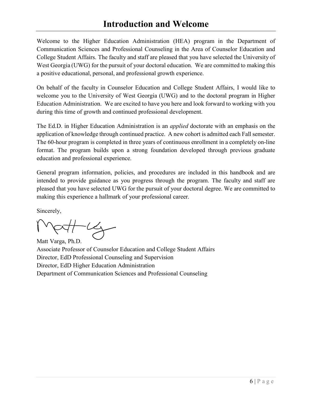# **Introduction and Welcome**

Welcome to the Higher Education Administration (HEA) program in the Department of Communication Sciences and Professional Counseling in the Area of Counselor Education and College Student Affairs. The faculty and staff are pleased that you have selected the University of West Georgia (UWG) for the pursuit of your doctoral education. We are committed to making this a positive educational, personal, and professional growth experience.

On behalf of the faculty in Counselor Education and College Student Affairs, I would like to welcome you to the University of West Georgia (UWG) and to the doctoral program in Higher Education Administration. We are excited to have you here and look forward to working with you during this time of growth and continued professional development.

The Ed.D. in Higher Education Administration is an *applied* doctorate with an emphasis on the application of knowledge through continued practice. A new cohort is admitted each Fall semester. The 60-hour program is completed in three years of continuous enrollment in a completely on-line format. The program builds upon a strong foundation developed through previous graduate education and professional experience.

General program information, policies, and procedures are included in this handbook and are intended to provide guidance as you progress through the program. The faculty and staff are pleased that you have selected UWG for the pursuit of your doctoral degree. We are committed to making this experience a hallmark of your professional career.

Sincerely,

 $-1$ Matt Varga, Ph.D.

Associate Professor of Counselor Education and College Student Affairs Director, EdD Professional Counseling and Supervision Director, EdD Higher Education Administration Department of Communication Sciences and Professional Counseling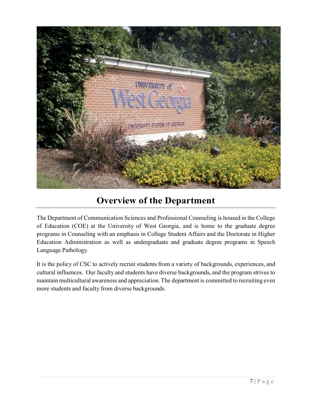

# **Overview of the Department**

The Department of Communication Sciences and Professional Counseling is housed in the College of Education (COE) at the University of West Georgia, and is home to the graduate degree programs in Counseling with an emphasis in College Student Affairs and the Doctorate in Higher Education Administration as well as undergraduate and graduate degree programs in Speech Language Pathology.

It is the policy of CSC to actively recruit students from a variety of backgrounds, experiences, and cultural influences. Our faculty and students have diverse backgrounds, and the program strives to maintain multicultural awareness and appreciation. The department is committed to recruiting even more students and faculty from diverse backgrounds.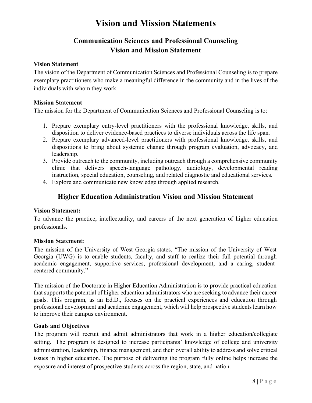# **Communication Sciences and Professional Counseling Vision and Mission Statement**

#### **Vision Statement**

The vision of the Department of Communication Sciences and Professional Counseling is to prepare exemplary practitioners who make a meaningful difference in the community and in the lives of the individuals with whom they work.

#### **Mission Statement**

The mission for the Department of Communication Sciences and Professional Counseling is to:

- 1. Prepare exemplary entry-level practitioners with the professional knowledge, skills, and disposition to deliver evidence-based practices to diverse individuals across the life span.
- 2. Prepare exemplary advanced-level practitioners with professional knowledge, skills, and dispositions to bring about systemic change through program evaluation, advocacy, and leadership.
- 3. Provide outreach to the community, including outreach through a comprehensive community clinic that delivers speech-language pathology, audiology, developmental reading instruction, special education, counseling, and related diagnostic and educational services.
- 4. Explore and communicate new knowledge through applied research.

## **Higher Education Administration Vision and Mission Statement**

#### **Vision Statement:**

To advance the practice, intellectuality, and careers of the next generation of higher education professionals.

#### **Mission Stat**e**ment:**

The mission of the University of West Georgia states, "The mission of the University of West Georgia (UWG) is to enable students, faculty, and staff to realize their full potential through academic engagement, supportive services, professional development, and a caring, studentcentered community."

The mission of the Doctorate in Higher Education Administration is to provide practical education that supports the potential of higher education administrators who are seeking to advance their career goals. This program, as an Ed.D., focuses on the practical experiences and education through professional development and academic engagement, which will help prospective students learn how to improve their campus environment.

#### **Goals and Objectives**

The program will recruit and admit administrators that work in a higher education/collegiate setting. The program is designed to increase participants' knowledge of college and university administration, leadership, finance management, and their overall ability to address and solve critical issues in higher education. The purpose of delivering the program fully online helps increase the exposure and interest of prospective students across the region, state, and nation.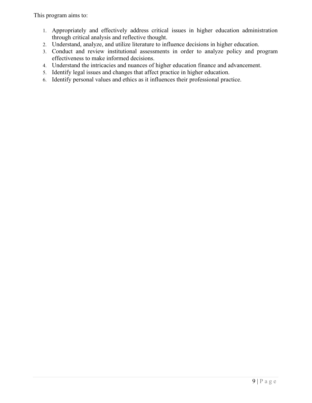This program aims to:

- 1. Appropriately and effectively address critical issues in higher education administration through critical analysis and reflective thought.
- 2. Understand, analyze, and utilize literature to influence decisions in higher education.
- 3. Conduct and review institutional assessments in order to analyze policy and program effectiveness to make informed decisions.
- 4. Understand the intricacies and nuances of higher education finance and advancement.
- 5. Identify legal issues and changes that affect practice in higher education.
- 6. Identify personal values and ethics as it influences their professional practice.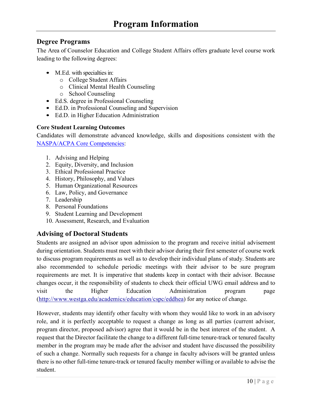## **Degree Programs**

The Area of Counselor Education and College Student Affairs offers graduate level course work leading to the following degrees:

- M.Ed. with specialties in:
	- o College Student Affairs
	- o Clinical Mental Health Counseling
	- o School Counseling
- Ed.S. degree in Professional Counseling
- Ed.D. in Professional Counseling and Supervision
- Ed.D. in Higher Education Administration

#### **Core Student Learning Outcomes**

Candidates will demonstrate advanced knowledge, skills and dispositions consistent with the NASPA/ACPA Core Competencies:

- 1. Advising and Helping
- 2. Equity, Diversity, and Inclusion
- 3. Ethical Professional Practice
- 4. History, Philosophy, and Values
- 5. Human Organizational Resources
- 6. Law, Policy, and Governance
- 7. Leadership
- 8. Personal Foundations
- 9. Student Learning and Development
- 10. Assessment, Research, and Evaluation

## **Advising of Doctoral Students**

Students are assigned an advisor upon admission to the program and receive initial advisement during orientation. Students must meet with their advisor during their first semester of course work to discuss program requirements as well as to develop their individual plans of study. Students are also recommended to schedule periodic meetings with their advisor to be sure program requirements are met. It is imperative that students keep in contact with their advisor. Because changes occur, it the responsibility of students to check their official UWG email address and to visit the Higher Education Administration program page (http://www.westga.edu/academics/education/cspc/eddhea) for any notice of change.

However, students may identify other faculty with whom they would like to work in an advisory role, and it is perfectly acceptable to request a change as long as all parties (current advisor, program director, proposed advisor) agree that it would be in the best interest of the student. A request that the Director facilitate the change to a different full-time tenure-track or tenured faculty member in the program may be made after the advisor and student have discussed the possibility of such a change. Normally such requests for a change in faculty advisors will be granted unless there is no other full-time tenure-track or tenured faculty member willing or available to advise the student.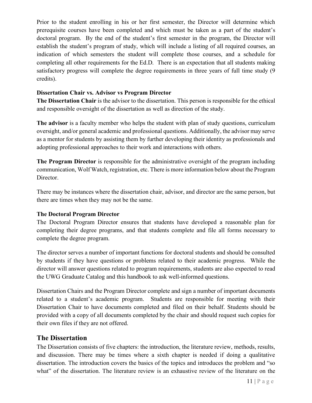Prior to the student enrolling in his or her first semester, the Director will determine which prerequisite courses have been completed and which must be taken as a part of the student's doctoral program. By the end of the student's first semester in the program, the Director will establish the student's program of study, which will include a listing of all required courses, an indication of which semesters the student will complete those courses, and a schedule for completing all other requirements for the Ed.D. There is an expectation that all students making satisfactory progress will complete the degree requirements in three years of full time study (9 credits).

#### **Dissertation Chair vs. Advisor vs Program Director**

**The Dissertation Chair** is the advisor to the dissertation. This person is responsible for the ethical and responsible oversight of the dissertation as well as direction of the study.

**The advisor** is a faculty member who helps the student with plan of study questions, curriculum oversight, and/or general academic and professional questions. Additionally, the advisor may serve as a mentor for students by assisting them by further developing their identity as professionals and adopting professional approaches to their work and interactions with others.

**The Program Director** is responsible for the administrative oversight of the program including communication, Wolf Watch, registration, etc. There is more information below about the Program Director.

There may be instances where the dissertation chair, advisor, and director are the same person, but there are times when they may not be the same.

#### **The Doctoral Program Director**

The Doctoral Program Director ensures that students have developed a reasonable plan for completing their degree programs, and that students complete and file all forms necessary to complete the degree program.

The director serves a number of important functions for doctoral students and should be consulted by students if they have questions or problems related to their academic progress. While the director will answer questions related to program requirements, students are also expected to read the UWG Graduate Catalog and this handbook to ask well-informed questions.

Dissertation Chairs and the Program Director complete and sign a number of important documents related to a student's academic program. Students are responsible for meeting with their Dissertation Chair to have documents completed and filed on their behalf. Students should be provided with a copy of all documents completed by the chair and should request such copies for their own files if they are not offered.

## **The Dissertation**

The Dissertation consists of five chapters: the introduction, the literature review, methods, results, and discussion. There may be times where a sixth chapter is needed if doing a qualitative dissertation. The introduction covers the basics of the topics and introduces the problem and "so what" of the dissertation. The literature review is an exhaustive review of the literature on the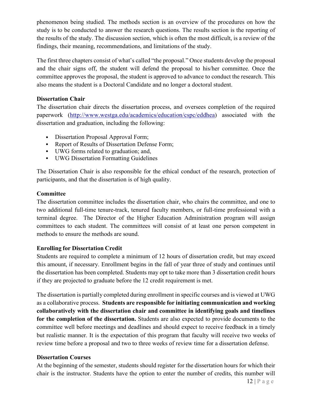phenomenon being studied. The methods section is an overview of the procedures on how the study is to be conducted to answer the research questions. The results section is the reporting of the results of the study. The discussion section, which is often the most difficult, is a review of the findings, their meaning, recommendations, and limitations of the study.

The first three chapters consist of what's called "the proposal." Once students develop the proposal and the chair signs off, the student will defend the proposal to his/her committee. Once the committee approves the proposal, the student is approved to advance to conduct the research. This also means the student is a Doctoral Candidate and no longer a doctoral student.

#### **Dissertation Chair**

The dissertation chair directs the dissertation process, and oversees completion of the required paperwork (http://www.westga.edu/academics/education/cspc/eddhea) associated with the dissertation and graduation, including the following:

- Dissertation Proposal Approval Form;
- Report of Results of Dissertation Defense Form;
- UWG forms related to graduation; and,
- UWG Dissertation Formatting Guidelines

The Dissertation Chair is also responsible for the ethical conduct of the research, protection of participants, and that the dissertation is of high quality.

#### **Committee**

The dissertation committee includes the dissertation chair, who chairs the committee, and one to two additional full-time tenure-track, tenured faculty members, or full-time professional with a terminal degree. The Director of the Higher Education Administration program will assign committees to each student. The committees will consist of at least one person competent in methods to ensure the methods are sound.

#### **Enrolling for Dissertation Credit**

Students are required to complete a minimum of 12 hours of dissertation credit, but may exceed this amount, if necessary. Enrollment begins in the fall of year three of study and continues until the dissertation has been completed. Students may opt to take more than 3 dissertation credit hours if they are projected to graduate before the 12 credit requirement is met.

The dissertation is partially completed during enrollment in specific courses and is viewed at UWG as a collaborative process. **Students are responsible for initiating communication and working collaboratively with the dissertation chair and committee in identifying goals and timelines for the completion of the dissertation.** Students are also expected to provide documents to the committee well before meetings and deadlines and should expect to receive feedback in a timely but realistic manner. It is the expectation of this program that faculty will receive two weeks of review time before a proposal and two to three weeks of review time for a dissertation defense.

#### **Dissertation Courses**

At the beginning of the semester, students should register for the dissertation hours for which their chair is the instructor. Students have the option to enter the number of credits, this number will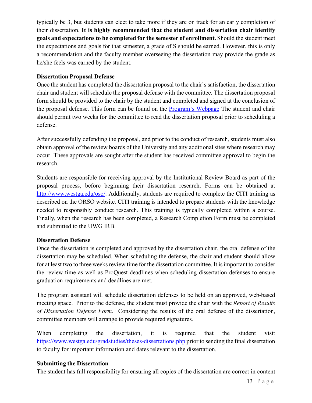typically be 3, but students can elect to take more if they are on track for an early completion of their dissertation. **It is highly recommended that the student and dissertation chair identify goals and expectations to be completed for the semester of enrollment.** Should the student meet the expectations and goals for that semester, a grade of S should be earned. However, this is only a recommendation and the faculty member overseeing the dissertation may provide the grade as he/she feels was earned by the student.

#### **Dissertation Proposal Defense**

Once the student has completed the dissertation proposal to the chair's satisfaction, the dissertation chair and student will schedule the proposal defense with the committee. The dissertation proposal form should be provided to the chair by the student and completed and signed at the conclusion of the proposal defense. This form can be found on the Program's Webpage The student and chair should permit two weeks for the committee to read the dissertation proposal prior to scheduling a defense.

After successfully defending the proposal, and prior to the conduct of research, students must also obtain approval of the review boards of the University and any additional sites where research may occur. These approvals are sought after the student has received committee approval to begin the research.

Students are responsible for receiving approval by the Institutional Review Board as part of the proposal process, before beginning their dissertation research. Forms can be obtained at http://www.westga.edu/oso/. Additionally, students are required to complete the CITI training as described on the ORSO website. CITI training is intended to prepare students with the knowledge needed to responsibly conduct research. This training is typically completed within a course. Finally, when the research has been completed, a Research Completion Form must be completed and submitted to the UWG IRB.

#### **Dissertation Defense**

Once the dissertation is completed and approved by the dissertation chair, the oral defense of the dissertation may be scheduled. When scheduling the defense, the chair and student should allow for at least two to three weeks review time for the dissertation committee. It is important to consider the review time as well as ProQuest deadlines when scheduling dissertation defenses to ensure graduation requirements and deadlines are met.

The program assistant will schedule dissertation defenses to be held on an approved, web-based meeting space. Prior to the defense, the student must provide the chair with the *Report of Results of Dissertation Defense Form*. Considering the results of the oral defense of the dissertation, committee members will arrange to provide required signatures.

When completing the dissertation, it is required that the student visit https://www.westga.edu/gradstudies/theses-dissertations.php prior to sending the final dissertation to faculty for important information and dates relevant to the dissertation.

#### **Submitting the Dissertation**

The student has full responsibility for ensuring all copies of the dissertation are correct in content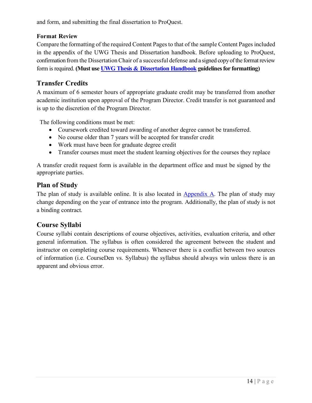and form, and submitting the final dissertation to ProQuest.

#### **Format Review**

Compare the formatting of the required Content Pages to that of the sample Content Pages included in the appendix of the UWG Thesis and Dissertation handbook. Before uploading to ProQuest, confirmation from the Dissertation Chair of a successful defense and a signed copy of the format review form isrequired. **(Must use UWG Thesis & Dissertation Handbook guidelinesfor formatting)**

# **Transfer Credits**

A maximum of 6 semester hours of appropriate graduate credit may be transferred from another academic institution upon approval of the Program Director. Credit transfer is not guaranteed and is up to the discretion of the Program Director.

The following conditions must be met:

- Coursework credited toward awarding of another degree cannot be transferred.
- No course older than 7 years will be accepted for transfer credit
- Work must have been for graduate degree credit
- Transfer courses must meet the student learning objectives for the courses they replace

A transfer credit request form is available in the department office and must be signed by the appropriate parties.

## **Plan of Study**

The plan of study is available online. It is also located in Appendix A. The plan of study may change depending on the year of entrance into the program. Additionally, the plan of study is not a binding contract.

# **Course Syllabi**

Course syllabi contain descriptions of course objectives, activities, evaluation criteria, and other general information. The syllabus is often considered the agreement between the student and instructor on completing course requirements. Whenever there is a conflict between two sources of information (i.e. CourseDen vs. Syllabus) the syllabus should always win unless there is an apparent and obvious error.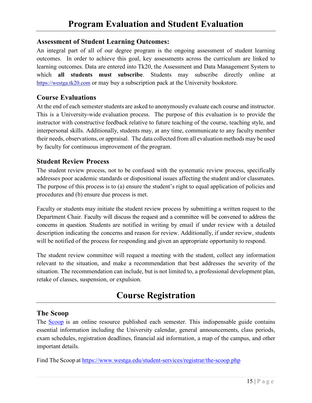#### **Assessment of Student Learning Outcomes:**

An integral part of all of our degree program is the ongoing assessment of student learning outcomes. In order to achieve this goal, key assessments across the curriculum are linked to learning outcomes. Data are entered into Tk20, the Assessment and Data Management System to which **all students must subscribe**. Students may subscribe directly online at https://westga.tk20.com or may buy a subscription pack at the University bookstore.

## **Course Evaluations**

At the end of each semester students are asked to anonymously evaluate each course and instructor. This is a University-wide evaluation process. The purpose of this evaluation is to provide the instructor with constructive feedback relative to future teaching of the course, teaching style, and interpersonal skills. Additionally, students may, at any time, communicate to any faculty member their needs, observations, or appraisal. The data collected from all evaluation methods may be used by faculty for continuous improvement of the program.

#### **Student Review Process**

The student review process, not to be confused with the systematic review process, specifically addresses poor academic standards or dispositional issues affecting the student and/or classmates. The purpose of this process is to (a) ensure the student's right to equal application of policies and procedures and (b) ensure due process is met.

Faculty or students may initiate the student review process by submitting a written request to the Department Chair. Faculty will discuss the request and a committee will be convened to address the concerns in question. Students are notified in writing by email if under review with a detailed description indicating the concerns and reason for review. Additionally, if under review, students will be notified of the process for responding and given an appropriate opportunity to respond.

The student review committee will request a meeting with the student, collect any information relevant to the situation, and make a recommendation that best addresses the severity of the situation. The recommendation can include, but is not limited to, a professional development plan, retake of classes, suspension, or expulsion.

# **Course Registration**

#### **The Scoop**

The Scoop is an online resource published each semester. This indispensable guide contains essential information including the University calendar, general announcements, class periods, exam schedules, registration deadlines, financial aid information, a map of the campus, and other important details.

Find The Scoop at https://www.westga.edu/student-services/registrar/the-scoop.php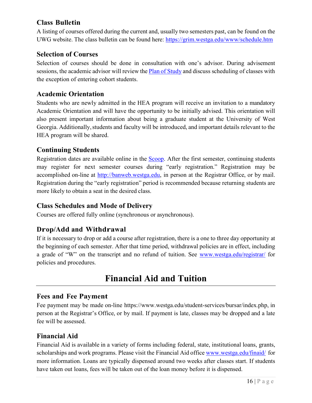# **Class Bulletin**

A listing of courses offered during the current and, usually two semesters past, can be found on the UWG website. The class bulletin can be found here: https://grim.westga.edu/www/schedule.htm

## **Selection of Courses**

Selection of courses should be done in consultation with one's advisor. During advisement sessions, the academic advisor will review the Plan of Study and discuss scheduling of classes with the exception of entering cohort students.

## **Academic Orientation**

Students who are newly admitted in the HEA program will receive an invitation to a mandatory Academic Orientation and will have the opportunity to be initially advised. This orientation will also present important information about being a graduate student at the University of West Georgia. Additionally, students and faculty will be introduced, and important details relevant to the HEA program will be shared.

## **Continuing Students**

Registration dates are available online in the Scoop. After the first semester, continuing students may register for next semester courses during "early registration." Registration may be accomplished on-line at http://banweb.westga.edu, in person at the Registrar Office, or by mail. Registration during the "early registration" period is recommended because returning students are more likely to obtain a seat in the desired class.

## **Class Schedules and Mode of Delivery**

Courses are offered fully online (synchronous or asynchronous).

# **Drop/Add and Withdrawal**

If it is necessary to drop or add a course after registration, there is a one to three day opportunity at the beginning of each semester. After that time period, withdrawal policies are in effect, including a grade of "W" on the transcript and no refund of tuition. See www.westga.edu/registrar/ for policies and procedures.

# **Financial Aid and Tuition**

## **Fees and Fee Payment**

Fee payment may be made on-line https://www.westga.edu/student-services/bursar/index.php, in person at the Registrar's Office, or by mail. If payment is late, classes may be dropped and a late fee will be assessed.

## **Financial Aid**

Financial Aid is available in a variety of forms including federal, state, institutional loans, grants, scholarships and work programs. Please visit the Financial Aid office www.westga.edu/finaid/ for more information. Loans are typically dispensed around two weeks after classes start. If students have taken out loans, fees will be taken out of the loan money before it is dispensed.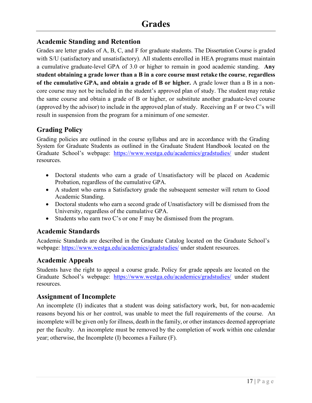# **Academic Standing and Retention**

Grades are letter grades of A, B, C, and F for graduate students. The Dissertation Course is graded with S/U (satisfactory and unsatisfactory). All students enrolled in HEA programs must maintain a cumulative graduate-level GPA of 3.0 or higher to remain in good academic standing. **Any student obtaining a grade lower than a B in a core course must retake the course**, **regardless of the cumulative GPA, and obtain a grade of B or higher.** A grade lower than a B in a noncore course may not be included in the student's approved plan of study. The student may retake the same course and obtain a grade of B or higher, or substitute another graduate-level course (approved by the advisor) to include in the approved plan of study. Receiving an F or two C's will result in suspension from the program for a minimum of one semester.

# **Grading Policy**

Grading policies are outlined in the course syllabus and are in accordance with the Grading System for Graduate Students as outlined in the Graduate Student Handbook located on the Graduate School's webpage: https://www.westga.edu/academics/gradstudies/ under student resources.

- Doctoral students who earn a grade of Unsatisfactory will be placed on Academic Probation, regardless of the cumulative GPA.
- A student who earns a Satisfactory grade the subsequent semester will return to Good Academic Standing.
- Doctoral students who earn a second grade of Unsatisfactory will be dismissed from the University, regardless of the cumulative GPA.
- Students who earn two C's or one F may be dismissed from the program.

## **Academic Standards**

Academic Standards are described in the Graduate Catalog located on the Graduate School's webpage: https://www.westga.edu/academics/gradstudies/ under student resources.

## **Academic Appeals**

Students have the right to appeal a course grade. Policy for grade appeals are located on the Graduate School's webpage: https://www.westga.edu/academics/gradstudies/ under student resources.

## **Assignment of Incomplete**

An incomplete (I) indicates that a student was doing satisfactory work, but, for non-academic reasons beyond his or her control, was unable to meet the full requirements of the course. An incomplete will be given only for illness, death in the family, or other instances deemed appropriate per the faculty. An incomplete must be removed by the completion of work within one calendar year; otherwise, the Incomplete (I) becomes a Failure (F).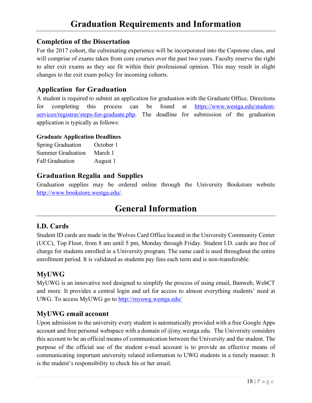#### **Completion of the Dissertation**

For the 2017 cohort, the culminating experience will be incorporated into the Capstone class, and will comprise of exams taken from core courses over the past two years. Faculty reserve the right to alter exit exams as they see fit within their professional opinion. This may result in slight changes to the exit exam policy for incoming cohorts.

## **Application for Graduation**

A student is required to submit an application for graduation with the Graduate Office. Directions for completing this process can be found at https://www.westga.edu/studentservices/registrar/steps-for-graduate.php. The deadline for submission of the graduation application is typically as follows:

#### **Graduate Application Deadlines**

| <b>Spring Graduation</b> | October 1 |
|--------------------------|-----------|
| <b>Summer Graduation</b> | March 1   |
| <b>Fall Graduation</b>   | August 1  |

## **Graduation Regalia and Supplies**

Graduation supplies may be ordered online through the University Bookstore website http://www.bookstore.westga.edu/.

# **General Information**

## **I.D. Cards**

Student ID cards are made in the Wolves Card Office located in the University Community Center (UCC), Top Floor, from 8 am until 5 pm, Monday through Friday. Student I.D. cards are free of charge for students enrolled in a University program. The same card is used throughout the entire enrollment period. It is validated as students pay fees each term and is non-transferable.

## **MyUWG**

MyUWG is an innovative tool designed to simplify the process of using email, Banweb, WebCT and more. It provides a central login and url for access to almost everything students' need at UWG. To access MyUWG go to http://myuwg.westga.edu/

## **MyUWG email account**

Upon admission to the university every student is automatically provided with a free Google Apps account and free personal webspace with a domain of  $@mv$  westga.edu. The University considers this account to be an official means of communication between the University and the student. The purpose of the official use of the student e-mail account is to provide an effective means of communicating important university related information to UWG students in a timely manner. It is the student's responsibility to check his or her email.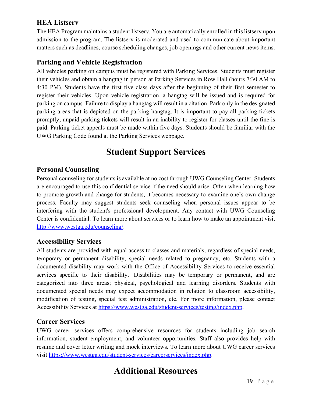# **HEA Listserv**

The HEA Program maintains a student listserv. You are automatically enrolled in this listserv upon admission to the program. The listserv is moderated and used to communicate about important matters such as deadlines, course scheduling changes, job openings and other current news items.

# **Parking and Vehicle Registration**

All vehicles parking on campus must be registered with Parking Services. Students must register their vehicles and obtain a hangtag in person at Parking Services in Row Hall (hours 7:30 AM to 4:30 PM). Students have the first five class days after the beginning of their first semester to register their vehicles. Upon vehicle registration, a hangtag will be issued and is required for parking on campus. Failure to display a hangtag will result in a citation. Park only in the designated parking areas that is depicted on the parking hangtag. It is important to pay all parking tickets promptly; unpaid parking tickets will result in an inability to register for classes until the fine is paid. Parking ticket appeals must be made within five days. Students should be familiar with the UWG Parking Code found at the Parking Services webpage.

# **Student Support Services**

#### **Personal Counseling**

Personal counseling for students is available at no cost through UWG Counseling Center. Students are encouraged to use this confidential service if the need should arise. Often when learning how to promote growth and change for students, it becomes necessary to examine one's own change process. Faculty may suggest students seek counseling when personal issues appear to be interfering with the student's professional development. Any contact with UWG Counseling Center is confidential. To learn more about services or to learn how to make an appointment visit http://www.westga.edu/counseling/.

## **Accessibility Services**

All students are provided with equal access to classes and materials, regardless of special needs, temporary or permanent disability, special needs related to pregnancy, etc. Students with a documented disability may work with the Office of Accessibility Services to receive essential services specific to their disability. Disabilities may be temporary or permanent, and are categorized into three areas; physical, psychological and learning disorders. Students with documented special needs may expect accommodation in relation to classroom accessibility, modification of testing, special test administration, etc. For more information, please contact Accessibility Services at https://www.westga.edu/student-services/testing/index.php.

#### **Career Services**

UWG career services offers comprehensive resources for students including job search information, student employment, and volunteer opportunities. Staff also provides help with resume and cover letter writing and mock interviews. To learn more about UWG career services visit https://www.westga.edu/student-services/careerservices/index.php.

# **Additional Resources**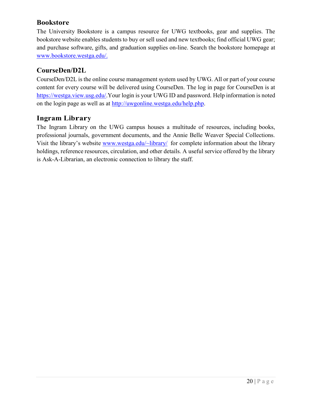## **Bookstore**

The University Bookstore is a campus resource for UWG textbooks, gear and supplies. The bookstore website enables students to buy or sell used and new textbooks; find official UWG gear; and purchase software, gifts, and graduation supplies on-line. Search the bookstore homepage at www.bookstore.westga.edu/.

# **CourseDen/D2L**

CourseDen/D2L is the online course management system used by UWG. All or part of your course content for every course will be delivered using CourseDen. The log in page for CourseDen is at https://westga.view.usg.edu/.Your login is your UWG ID and password. Help information is noted on the login page as well as at http://uwgonline.westga.edu/help.php.

# **Ingram Library**

The Ingram Library on the UWG campus houses a multitude of resources, including books, professional journals, government documents, and the Annie Belle Weaver Special Collections. Visit the library's website www.westga.edu/~library/ for complete information about the library holdings, reference resources, circulation, and other details. A useful service offered by the library is Ask-A-Librarian, an electronic connection to library the staff.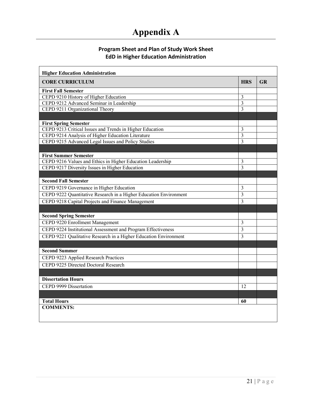# **Appendix A**

#### **Program Sheet and Plan of Study Work Sheet EdD in Higher Education Administration**

| <b>Higher Education Administration</b>                            |                         |    |
|-------------------------------------------------------------------|-------------------------|----|
| <b>CORE CURRICULUM</b>                                            | <b>HRS</b>              | GR |
| <b>First Fall Semester</b>                                        |                         |    |
| CEPD 9210 History of Higher Education                             | 3                       |    |
| CEPD 9212 Advanced Seminar in Leadership                          | $\overline{3}$          |    |
| CEPD 9211 Organizational Theory                                   | 3                       |    |
|                                                                   |                         |    |
| <b>First Spring Semester</b>                                      |                         |    |
| CEPD 9213 Critical Issues and Trends in Higher Education          | 3                       |    |
| CEPD 9214 Analysis of Higher Education Literature                 | $\mathfrak{Z}$          |    |
| CEPD 9215 Advanced Legal Issues and Policy Studies                | $\overline{\mathbf{3}}$ |    |
|                                                                   |                         |    |
| <b>First Summer Semester</b>                                      |                         |    |
| CEPD 9216 Values and Ethics in Higher Education Leadership        | 3                       |    |
| CEPD 9217 Diversity Issues in Higher Education                    | $\overline{3}$          |    |
|                                                                   |                         |    |
| <b>Second Fall Semester</b>                                       |                         |    |
| CEPD 9219 Governance in Higher Education                          | 3                       |    |
| CEPD 9222 Quantitative Research in a Higher Education Environment | $\overline{3}$          |    |
| CEPD 9218 Capital Projects and Finance Management                 | 3                       |    |
|                                                                   |                         |    |
| <b>Second Spring Semester</b>                                     |                         |    |
| CEPD 9220 Enrollment Management                                   | $\overline{3}$          |    |
| CEPD 9224 Institutional Assessment and Program Effectiveness      | 3                       |    |
| CEPD 9221 Qualitative Research in a Higher Education Environment  | $\overline{3}$          |    |
|                                                                   |                         |    |
| <b>Second Summer</b>                                              |                         |    |
| CEPD 9223 Applied Research Practices                              |                         |    |
| CEPD 9225 Directed Doctoral Research                              |                         |    |
|                                                                   |                         |    |
| <b>Dissertation Hours</b>                                         |                         |    |
| CEPD 9999 Dissertation                                            | 12                      |    |
|                                                                   |                         |    |
| <b>Total Hours</b>                                                | 60                      |    |
| <b>COMMENTS:</b>                                                  |                         |    |
|                                                                   |                         |    |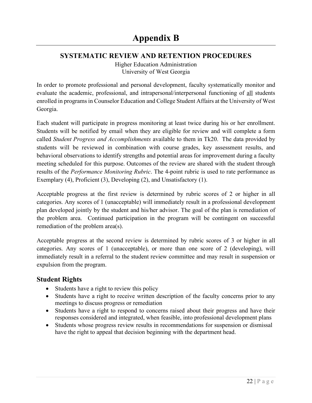## **SYSTEMATIC REVIEW AND RETENTION PROCEDURES**

Higher Education Administration University of West Georgia

In order to promote professional and personal development, faculty systematically monitor and evaluate the academic, professional, and intrapersonal/interpersonal functioning of all students enrolled in programs in Counselor Education and College Student Affairs at the University of West Georgia.

Each student will participate in progress monitoring at least twice during his or her enrollment. Students will be notified by email when they are eligible for review and will complete a form called *Student Progress and Accomplishments* available to them in Tk20. The data provided by students will be reviewed in combination with course grades, key assessment results, and behavioral observations to identify strengths and potential areas for improvement during a faculty meeting scheduled for this purpose. Outcomes of the review are shared with the student through results of the *Performance Monitoring Rubric*. The 4-point rubric is used to rate performance as Exemplary (4), Proficient (3), Developing (2), and Unsatisfactory (1).

Acceptable progress at the first review is determined by rubric scores of 2 or higher in all categories. Any scores of 1 (unacceptable) will immediately result in a professional development plan developed jointly by the student and his/her advisor. The goal of the plan is remediation of the problem area. Continued participation in the program will be contingent on successful remediation of the problem area(s).

Acceptable progress at the second review is determined by rubric scores of 3 or higher in all categories. Any scores of 1 (unacceptable), or more than one score of 2 (developing), will immediately result in a referral to the student review committee and may result in suspension or expulsion from the program.

# **Student Rights**

- Students have a right to review this policy
- Students have a right to receive written description of the faculty concerns prior to any meetings to discuss progress or remediation
- Students have a right to respond to concerns raised about their progress and have their responses considered and integrated, when feasible, into professional development plans
- Students whose progress review results in recommendations for suspension or dismissal have the right to appeal that decision beginning with the department head.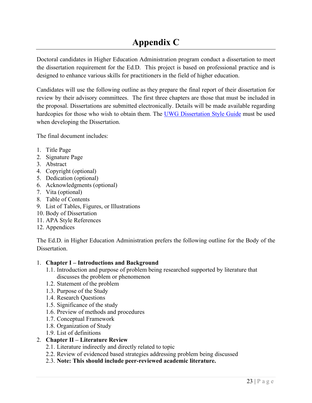# **Appendix C**

Doctoral candidates in Higher Education Administration program conduct a dissertation to meet the dissertation requirement for the Ed.D. This project is based on professional practice and is designed to enhance various skills for practitioners in the field of higher education.

Candidates will use the following outline as they prepare the final report of their dissertation for review by their advisory committees. The first three chapters are those that must be included in the proposal. Dissertations are submitted electronically. Details will be made available regarding hardcopies for those who wish to obtain them. The UWG Dissertation Style Guide must be used when developing the Dissertation.

The final document includes:

- 1. Title Page
- 2. Signature Page
- 3. Abstract
- 4. Copyright (optional)
- 5. Dedication (optional)
- 6. Acknowledgments (optional)
- 7. Vita (optional)
- 8. Table of Contents
- 9. List of Tables, Figures, or Illustrations
- 10. Body of Dissertation
- 11. APA Style References
- 12. Appendices

The Ed.D. in Higher Education Administration prefers the following outline for the Body of the Dissertation.

#### 1. **Chapter I – Introductions and Background**

- 1.1. Introduction and purpose of problem being researched supported by literature that discusses the problem or phenomenon
- 1.2. Statement of the problem
- 1.3. Purpose of the Study
- 1.4. Research Questions
- 1.5. Significance of the study
- 1.6. Preview of methods and procedures
- 1.7. Conceptual Framework
- 1.8. Organization of Study
- 1.9. List of definitions
- 2. **Chapter II – Literature Review**
	- 2.1. Literature indirectly and directly related to topic
	- 2.2. Review of evidenced based strategies addressing problem being discussed
	- 2.3. **Note: This should include peer-reviewed academic literature.**